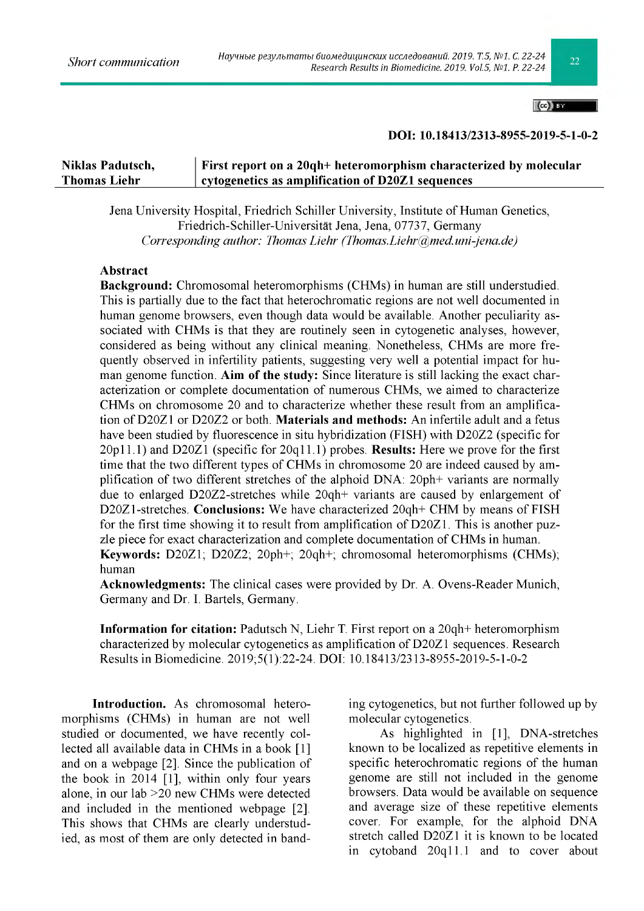$|(cc)|$  BY

## DOI: 10.18413/2313-8955-2019-5-1-0-2

# Niklas Padutsch, First report on a 20qh+ heteromorphism characterized by molecular Thomas Liehr  $\vert$  cytogenetics as amplification of D20Z1 sequences

Jena University Hospital, Friedrich Schiller University, Institute of Human Genetics, Friedrich-Schiller-Universitat Jena, Jena, 07737, Germany *Corresponding author: Thomas Liehr ([Thomas.Liehr@med.uni-jena.de\)](mailto:Thomas.Liehr@med.uni-jena.de)*

# A bstract

Background: Chromosomal heteromorphisms (CHMs) in human are still understudied. This is partially due to the fact that heterochromatic regions are not well documented in human genome browsers, even though data would be available. Another peculiarity associated with CHMs is that they are routinely seen in cytogenetic analyses, however, considered as being without any clinical meaning. Nonetheless, CHMs are more frequently observed in infertility patients, suggesting very well a potential impact for human genome function. Aim of the study: Since literature is still lacking the exact characterization or complete documentation of numerous CHMs, we aimed to characterize CHMs on chromosome 20 and to characterize whether these result from an amplification of D20Z1 or D20Z2 or both. **Materials and methods:** An infertile adult and a fetus have been studied by fluorescence in situ hybridization (FISH) with D20Z2 (specific for 20p11.1) and D20Z1 (specific for 20q11.1) probes. Results: Here we prove for the first time that the two different types of CHMs in chromosome 20 are indeed caused by amplification of two different stretches of the alphoid DNA: 20ph+ variants are normally due to enlarged D20Z2-stretches while 20qh+ variants are caused by enlargement of D20Z1-stretches. Conclusions: We have characterized 20qh+ CHM by means of FISH for the first time showing it to result from amplification of D20Z1. This is another puzzle piece for exact characterization and complete documentation of CHMs in human. Keywords: D20Z1; D20Z2; 20ph+; 20qh+; chromosomal heteromorphisms (CHMs); human

Acknowledgments: The clinical cases were provided by Dr. A. Ovens-Reader Munich, Germany and Dr. I. Bartels, Germany.

Inform ation for citation: Padutsch N, Liehr T. First report on a 20qh+ heteromorphism characterized by molecular cytogenetics as amplification of D20Z1 sequences. Research Results in Biomedicine. 2019;5(1):22-24. DOI: 10.18413/2313-8955-2019-5-1-0-2

Introduction. As chromosomal heteromorphisms (CHMs) in human are not well studied or documented, we have recently collected all available data in CHMs in a book [1] and on a webpage [2]. Since the publication of the book in 2014 [1], within only four years alone, in our lab >20 new CHMs were detected and included in the mentioned webpage [2]. This shows that CHMs are clearly understudied, as most of them are only detected in banding cytogenetics, but not further followed up by molecular cytogenetics.

As highlighted in [1], DNA-stretches known to be localized as repetitive elements in specific heterochromatic regions of the human genome are still not included in the genome browsers. Data would be available on sequence and average size of these repetitive elements cover. For example, for the alphoid DNA stretch called D20Z1 it is known to be located in cytoband 20q11.1 and to cover about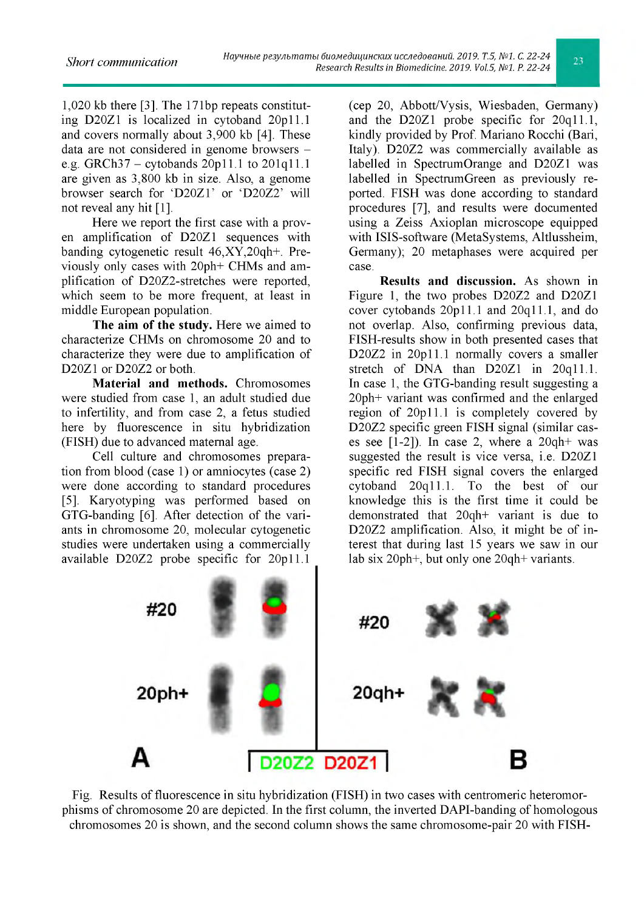1,020 kb there [3]. The 171bp repeats constituting D20Z1 is localized in cytoband 20p11.1 and covers normally about 3,900 kb [4]. These data are not considered in genome browsers e.g. GRCh37 – cytobands  $20p11.1$  to  $201q11.1$ are given as 3,800 kb in size. Also, a genome browser search for 'D20Z1' or 'D20Z2' will not reveal any hit [1].

Here we report the first case with a proven amplification of D20Z1 sequences with banding cytogenetic result 46,XY,20qh+. Previously only cases with 20ph+ CHMs and amplification of D20Z2-stretches were reported, which seem to be more frequent, at least in middle European population.

The aim of the study. Here we aimed to characterize CHMs on chromosome 20 and to characterize they were due to amplification of D20Z1 or D20Z2 or both.

Material and methods. Chromosomes were studied from case 1, an adult studied due to infertility, and from case 2, a fetus studied here by fluorescence in situ hybridization (FISH) due to advanced maternal age.

Cell culture and chromosomes preparation from blood (case 1) or amniocytes (case 2) were done according to standard procedures [5]. Karyotyping was performed based on GTG-banding [6]. After detection of the variants in chromosome 20, molecular cytogenetic studies were undertaken using a commercially available D20Z2 probe specific for 20p11.1 (cep 20, Abbott/Vysis, Wiesbaden, Germany) and the D20Z1 probe specific for 20q11.1, kindly provided by Prof. Mariano Rocchi (Bari, Italy). D20Z2 was commercially available as labelled in SpectrumOrange and D20Z1 was labelled in SpectrumGreen as previously reported. FISH was done according to standard procedures [7], and results were documented using a Zeiss Axioplan microscope equipped with ISIS-software (MetaSystems, Altlussheim, Germany); 20 metaphases were acquired per case.

Results and discussion. As shown in Figure 1, the two probes D20Z2 and D20Z1 cover cytobands 20p11.1 and 20q11.1, and do not overlap. Also, confirming previous data, FISH-results show in both presented cases that D20Z2 in 20p11.1 normally covers a smaller stretch of DNA than D20Z1 in 20q11.1. In case 1, the GTG-banding result suggesting a 20ph+ variant was confirmed and the enlarged region of 20p11.1 is completely covered by D20Z2 specific green FISH signal (similar cases see  $[1-2]$ ). In case 2, where a  $20q h$ + was suggested the result is vice versa, i.e. D20Z1 specific red FISH signal covers the enlarged cytoband 20q11.1. To the best of our knowledge this is the first time it could be demonstrated that 20qh+ variant is due to D20Z2 amplification. Also, it might be of interest that during last 15 years we saw in our lab six 20ph+, but only one 20qh+ variants.



Fig. Results of fluorescence in situ hybridization (FISH) in two cases with centromeric heteromorphisms of chromosome 20 are depicted. In the first column, the inverted DAPI-banding of homologous chromosomes 20 is shown, and the second column shows the same chromosome-pair 20 with FISH-